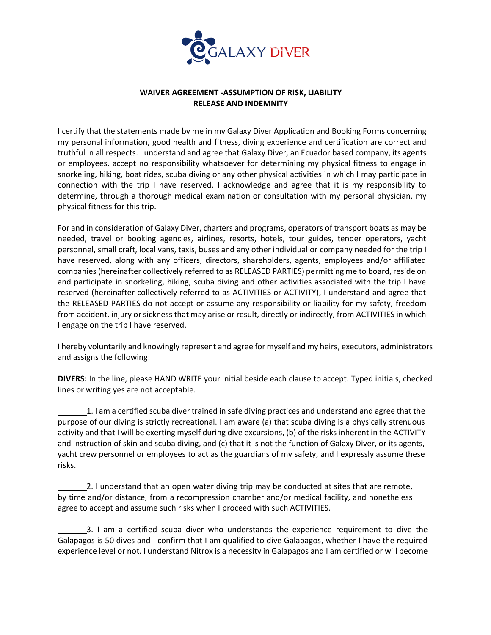

## **WAIVER AGREEMENT -ASSUMPTION OF RISK, LIABILITY RELEASE AND INDEMNITY**

I certify that the statements made by me in my Galaxy Diver Application and Booking Forms concerning my personal information, good health and fitness, diving experience and certification are correct and truthful in all respects. I understand and agree that Galaxy Diver, an Ecuador based company, its agents or employees, accept no responsibility whatsoever for determining my physical fitness to engage in snorkeling, hiking, boat rides, scuba diving or any other physical activities in which I may participate in connection with the trip I have reserved. I acknowledge and agree that it is my responsibility to determine, through a thorough medical examination or consultation with my personal physician, my physical fitness for this trip.

For and in consideration of Galaxy Diver, charters and programs, operators of transport boats as may be needed, travel or booking agencies, airlines, resorts, hotels, tour guides, tender operators, yacht personnel, small craft, local vans, taxis, buses and any other individual or company needed for the trip I have reserved, along with any officers, directors, shareholders, agents, employees and/or affiliated companies (hereinafter collectively referred to as RELEASED PARTIES) permitting me to board, reside on and participate in snorkeling, hiking, scuba diving and other activities associated with the trip I have reserved (hereinafter collectively referred to as ACTIVITIES or ACTIVITY), I understand and agree that the RELEASED PARTIES do not accept or assume any responsibility or liability for my safety, freedom from accident, injury or sickness that may arise or result, directly or indirectly, from ACTIVITIES in which I engage on the trip I have reserved.

I hereby voluntarily and knowingly represent and agree for myself and my heirs, executors, administrators and assigns the following:

**DIVERS:** In the line, please HAND WRITE your initial beside each clause to accept. Typed initials, checked lines or writing yes are not acceptable.

1. I am a certified scuba diver trained in safe diving practices and understand and agree that the purpose of our diving is strictly recreational. I am aware (a) that scuba diving is a physically strenuous activity and that I will be exerting myself during dive excursions, (b) of the risks inherent in the ACTIVITY and instruction of skin and scuba diving, and (c) that it is not the function of Galaxy Diver, or its agents, yacht crew personnel or employees to act as the guardians of my safety, and I expressly assume these risks.

2. I understand that an open water diving trip may be conducted at sites that are remote, by time and/or distance, from a recompression chamber and/or medical facility, and nonetheless agree to accept and assume such risks when I proceed with such ACTIVITIES.

3. I am a certified scuba diver who understands the experience requirement to dive the Galapagos is 50 dives and I confirm that I am qualified to dive Galapagos, whether I have the required experience level or not. I understand Nitrox is a necessity in Galapagos and I am certified or will become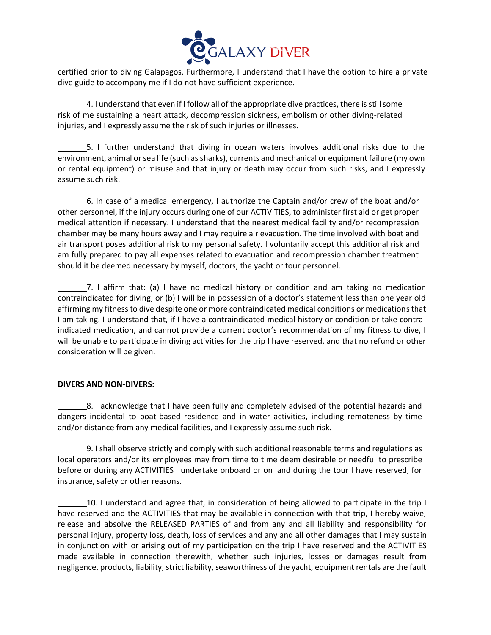

certified prior to diving Galapagos. Furthermore, I understand that I have the option to hire a private dive guide to accompany me if I do not have sufficient experience.

4. I understand that even if I follow all of the appropriate dive practices, there is still some risk of me sustaining a heart attack, decompression sickness, embolism or other diving-related injuries, and I expressly assume the risk of such injuries or illnesses.

5. I further understand that diving in ocean waters involves additional risks due to the environment, animal or sea life (such as sharks), currents and mechanical or equipment failure (my own or rental equipment) or misuse and that injury or death may occur from such risks, and I expressly assume such risk.

6. In case of a medical emergency, I authorize the Captain and/or crew of the boat and/or other personnel, if the injury occurs during one of our ACTIVITIES, to administer first aid or get proper medical attention if necessary. I understand that the nearest medical facility and/or recompression chamber may be many hours away and I may require air evacuation. The time involved with boat and air transport poses additional risk to my personal safety. I voluntarily accept this additional risk and am fully prepared to pay all expenses related to evacuation and recompression chamber treatment should it be deemed necessary by myself, doctors, the yacht or tour personnel.

7. I affirm that: (a) I have no medical history or condition and am taking no medication contraindicated for diving, or (b) I will be in possession of a doctor's statement less than one year old affirming my fitness to dive despite one or more contraindicated medical conditions or medications that I am taking. I understand that, if I have a contraindicated medical history or condition or take contraindicated medication, and cannot provide a current doctor's recommendation of my fitness to dive, I will be unable to participate in diving activities for the trip I have reserved, and that no refund or other consideration will be given.

## **DIVERS AND NON-DIVERS:**

8. I acknowledge that I have been fully and completely advised of the potential hazards and dangers incidental to boat-based residence and in-water activities, including remoteness by time and/or distance from any medical facilities, and I expressly assume such risk.

9. I shall observe strictly and comply with such additional reasonable terms and regulations as local operators and/or its employees may from time to time deem desirable or needful to prescribe before or during any ACTIVITIES I undertake onboard or on land during the tour I have reserved, for insurance, safety or other reasons.

10. I understand and agree that, in consideration of being allowed to participate in the trip I have reserved and the ACTIVITIES that may be available in connection with that trip, I hereby waive, release and absolve the RELEASED PARTIES of and from any and all liability and responsibility for personal injury, property loss, death, loss of services and any and all other damages that I may sustain in conjunction with or arising out of my participation on the trip I have reserved and the ACTIVITIES made available in connection therewith, whether such injuries, losses or damages result from negligence, products, liability, strict liability, seaworthiness of the yacht, equipment rentals are the fault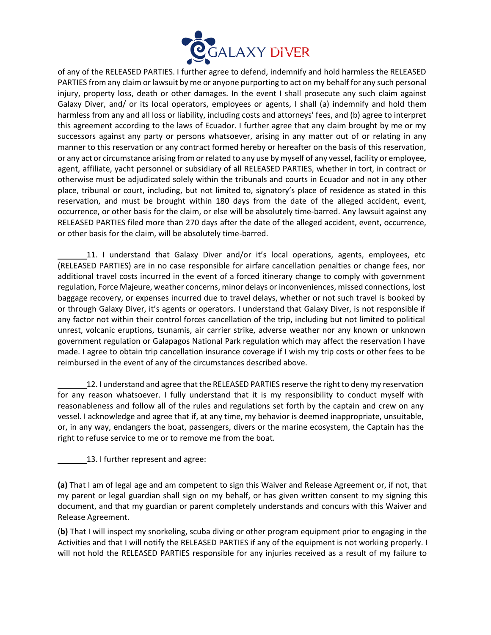

of any of the RELEASED PARTIES. I further agree to defend, indemnify and hold harmless the RELEASED PARTIES from any claim or lawsuit by me or anyone purporting to act on my behalf for any such personal injury, property loss, death or other damages. In the event I shall prosecute any such claim against Galaxy Diver, and/ or its local operators, employees or agents, I shall (a) indemnify and hold them harmless from any and all loss or liability, including costs and attorneys' fees, and (b) agree to interpret this agreement according to the laws of Ecuador. I further agree that any claim brought by me or my successors against any party or persons whatsoever, arising in any matter out of or relating in any manner to this reservation or any contract formed hereby or hereafter on the basis of this reservation, or any act or circumstance arising from or related to any use by myself of any vessel, facility or employee, agent, affiliate, yacht personnel or subsidiary of all RELEASED PARTIES, whether in tort, in contract or otherwise must be adjudicated solely within the tribunals and courts in Ecuador and not in any other place, tribunal or court, including, but not limited to, signatory's place of residence as stated in this reservation, and must be brought within 180 days from the date of the alleged accident, event, occurrence, or other basis for the claim, or else will be absolutely time-barred. Any lawsuit against any RELEASED PARTIES filed more than 270 days after the date of the alleged accident, event, occurrence, or other basis for the claim, will be absolutely time-barred.

11. I understand that Galaxy Diver and/or it's local operations, agents, employees, etc (RELEASED PARTIES) are in no case responsible for airfare cancellation penalties or change fees, nor additional travel costs incurred in the event of a forced itinerary change to comply with government regulation, Force Majeure, weather concerns, minor delays or inconveniences, missed connections, lost baggage recovery, or expenses incurred due to travel delays, whether or not such travel is booked by or through Galaxy Diver, it's agents or operators. I understand that Galaxy Diver, is not responsible if any factor not within their control forces cancellation of the trip, including but not limited to political unrest, volcanic eruptions, tsunamis, air carrier strike, adverse weather nor any known or unknown government regulation or Galapagos National Park regulation which may affect the reservation I have made. I agree to obtain trip cancellation insurance coverage if I wish my trip costs or other fees to be reimbursed in the event of any of the circumstances described above.

12. I understand and agree that the RELEASED PARTIES reserve the right to deny my reservation for any reason whatsoever. I fully understand that it is my responsibility to conduct myself with reasonableness and follow all of the rules and regulations set forth by the captain and crew on any vessel. I acknowledge and agree that if, at any time, my behavior is deemed inappropriate, unsuitable, or, in any way, endangers the boat, passengers, divers or the marine ecosystem, the Captain has the right to refuse service to me or to remove me from the boat.

13. I further represent and agree:

**(a)** That I am of legal age and am competent to sign this Waiver and Release Agreement or, if not, that my parent or legal guardian shall sign on my behalf, or has given written consent to my signing this document, and that my guardian or parent completely understands and concurs with this Waiver and Release Agreement.

(**b)** That I will inspect my snorkeling, scuba diving or other program equipment prior to engaging in the Activities and that I will notify the RELEASED PARTIES if any of the equipment is not working properly. I will not hold the RELEASED PARTIES responsible for any injuries received as a result of my failure to